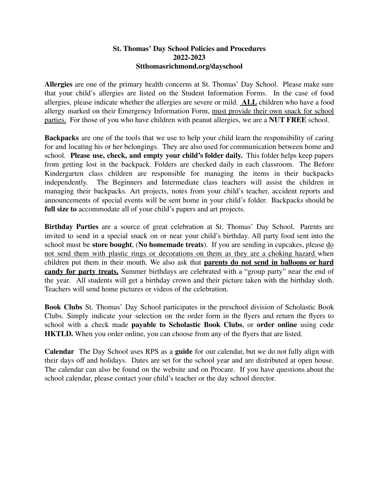## **St. Thomas' Day School Policies and Procedures 2022-2023 Stthomasrichmond.org/dayschool**

**Allergies** are one of the primary health concerns at St. Thomas' Day School. Please make sure that your child's allergies are listed on the Student Information Forms. In the case of food allergies, please indicate whether the allergies are severe or mild. **ALL** children who have a food allergy marked on their Emergency Information Form, must provide their own snack for school parties. For those of you who have children with peanut allergies, we are a **NUT FREE** school.

**Backpacks** are one of the tools that we use to help your child learn the responsibility of caring for and locating his or her belongings. They are also used for communication between home and school. **Please use, check, and empty your child's folder daily.** This folder helps keep papers from getting lost in the backpack. Folders are checked daily in each classroom. The Before Kindergarten class children are responsible for managing the items in their backpacks independently. The Beginners and Intermediate class teachers will assist the children in managing their backpacks. Art projects, notes from your child's teacher, accident reports and announcements of special events will be sent home in your child's folder. Backpacks should be **full size to** accommodate all of your child's papers and art projects.

**Birthday Parties** are a source of great celebration at St. Thomas' Day School. Parents are invited to send in a special snack on or near your child's birthday. All party food sent into the school must be **store bought**, (**No homemade treats**). If you are sending in cupcakes, please do not send them with plastic rings or decorations on them as they are a choking hazard when children put them in their mouth. We also ask that **parents do not send in balloons or hard candy for party treats.** Summer birthdays are celebrated with a "group party" near the end of the year. All students will get a birthday crown and their picture taken with the birthday sloth. Teachers will send home pictures or videos of the celebration.

**Book Clubs** St. Thomas' Day School participates in the preschool division of Scholastic Book Clubs. Simply indicate your selection on the order form in the flyers and return the flyers to school with a check made **payable to Scholastic Book Clubs**, or **order online** using code **HKTLD.** When you order online, you can choose from any of the flyers that are listed.

**Calendar** The Day School uses RPS as a **guide** for our calendar, but we do not fully align with their days off and holidays. Dates are set for the school year and are distributed at open house. The calendar can also be found on the website and on Procare. If you have questions about the school calendar, please contact your child's teacher or the day school director.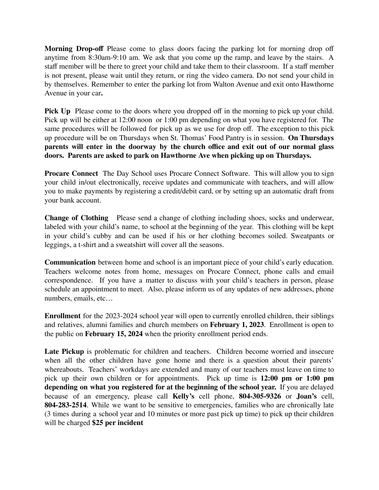**Morning Drop-off** Please come to glass doors facing the parking lot for morning drop off anytime from 8:30am-9:10 am. We ask that you come up the ramp, and leave by the stairs. A staff member will be there to greet your child and take them to their classroom. If a staff member is not present, please wait until they return, or ring the video camera. Do not send your child in by themselves. Remember to enter the parking lot from Walton Avenue and exit onto Hawthorne Avenue in your car**.**

**Pick Up** Please come to the doors where you dropped off in the morning to pick up your child. Pick up will be either at 12:00 noon or 1:00 pm depending on what you have registered for. The same procedures will be followed for pick up as we use for drop off. The exception to this pick up procedure will be on Thursdays when St. Thomas' Food Pantry is in session. **On Thursdays parents will enter in the doorway by the church office and exit out of our normal glass doors. Parents are asked to park on Hawthorne Ave when picking up on Thursdays.**

**Procare Connect** The Day School uses Procare Connect Software. This will allow you to sign your child in/out electronically, receive updates and communicate with teachers, and will allow you to make payments by registering a credit/debit card, or by setting up an automatic draft from your bank account.

**Change of Clothing** Please send a change of clothing including shoes, socks and underwear, labeled with your child's name, to school at the beginning of the year. This clothing will be kept in your child's cubby and can be used if his or her clothing becomes soiled. Sweatpants or leggings, a t-shirt and a sweatshirt will cover all the seasons.

**Communication** between home and school is an important piece of your child's early education. Teachers welcome notes from home, messages on Procare Connect, phone calls and email correspondence. If you have a matter to discuss with your child's teachers in person, please schedule an appointment to meet. Also, please inform us of any updates of new addresses, phone numbers, emails, etc…

**Enrollment** for the 2023-2024 school year will open to currently enrolled children, their siblings and relatives, alumni families and church members on **February 1, 2023**. Enrollment is open to the public on **February 15, 2024** when the priority enrollment period ends.

**Late Pickup** is problematic for children and teachers. Children become worried and insecure when all the other children have gone home and there is a question about their parents' whereabouts. Teachers' workdays are extended and many of our teachers must leave on time to pick up their own children or for appointments. Pick up time is **12:00 pm or 1:00 pm depending on what you registered for at the beginning of the school year.** If you are delayed because of an emergency, please call **Kelly's** cell phone, **804-305-9326** or **Joan's** cell, **804-283-2514**. While we want to be sensitive to emergencies, families who are chronically late (3 times during a school year and 10 minutes or more past pick up time) to pick up their children will be charged **\$25 per incident**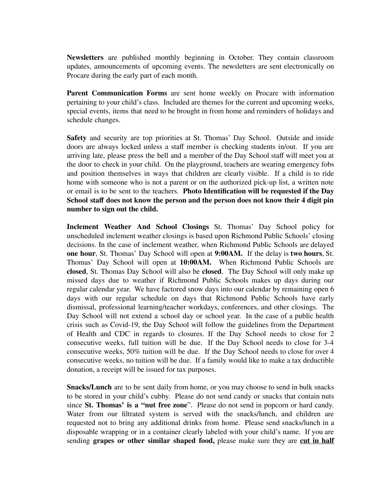**Newsletters** are published monthly beginning in October. They contain classroom updates, announcements of upcoming events. The newsletters are sent electronically on Procare during the early part of each month.

**Parent Communication Forms** are sent home weekly on Procare with information pertaining to your child's class. Included are themes for the current and upcoming weeks, special events, items that need to be brought in from home and reminders of holidays and schedule changes.

**Safety** and security are top priorities at St. Thomas' Day School. Outside and inside doors are always locked unless a staff member is checking students in/out. If you are arriving late, please press the bell and a member of the Day School staff will meet you at the door to check in your child. On the playground, teachers are wearing emergency fobs and position themselves in ways that children are clearly visible. If a child is to ride home with someone who is not a parent or on the authorized pick-up list, a written note or email is to be sent to the teachers. **Photo Identification will be requested if the Day School staff does not know the person and the person does not know their 4 digit pin number to sign out the child.**

**Inclement Weather And School Closings** St. Thomas' Day School policy for unscheduled inclement weather closings is based upon Richmond Public Schools' closing decisions. In the case of inclement weather, when Richmond Public Schools are delayed **one hour**, St. Thomas' Day School will open at **9:00AM.** If the delay is **two hours**, St. Thomas' Day School will open at **10:00AM.** When Richmond Public Schools are **closed**, St. Thomas Day School will also be **closed**. The Day School will only make up missed days due to weather if Richmond Public Schools makes up days during our regular calendar year. We have factored snow days into our calendar by remaining open 6 days with our regular schedule on days that Richmond Public Schools have early dismissal, professional learning/teacher workdays, conferences, and other closings. The Day School will not extend a school day or school year. In the case of a public health crisis such as Covid-19, the Day School will follow the guidelines from the Department of Health and CDC in regards to closures. If the Day School needs to close for 2 consecutive weeks, full tuition will be due. If the Day School needs to close for 3-4 consecutive weeks, 50% tuition will be due. If the Day School needs to close for over 4 consecutive weeks, no tuition will be due. If a family would like to make a tax deductible donation, a receipt will be issued for tax purposes.

**Snacks/Lunch** are to be sent daily from home, or you may choose to send in bulk snacks to be stored in your child's cubby. Please do not send candy or snacks that contain nuts since **St. Thomas' is a "nut free zone**". Please do not send in popcorn or hard candy. Water from our filtrated system is served with the snacks/lunch, and children are requested not to bring any additional drinks from home. Please send snacks/lunch in a disposable wrapping or in a container clearly labeled with your child's name. If you are sending **grapes or other similar shaped food,** please make sure they are **cut in half**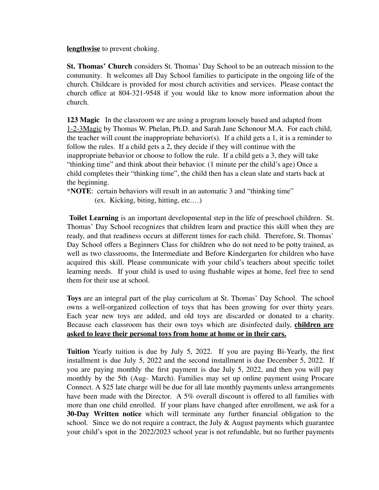**lengthwise** to prevent choking.

**St. Thomas' Church** considers St. Thomas' Day School to be an outreach mission to the community. It welcomes all Day School families to participate in the ongoing life of the church. Childcare is provided for most church activities and services. Please contact the church office at 804-321-9548 if you would like to know more information about the church.

**123 Magic** In the classroom we are using a program loosely based and adapted from 1-2-3Magic by Thomas W. Phelan, Ph.D. and Sarah Jane Schonour M.A. For each child, the teacher will count the inappropriate behavior(s). If a child gets a 1, it is a reminder to follow the rules. If a child gets a 2, they decide if they will continue with the inappropriate behavior or choose to follow the rule. If a child gets a 3, they will take "thinking time" and think about their behavior. (1 minute per the child's age) Once a child completes their "thinking time", the child then has a clean slate and starts back at the beginning.

\***NOTE**: certain behaviors will result in an automatic 3 and "thinking time"

(ex. Kicking, biting, hitting, etc.…)

**Toilet Learning** is an important developmental step in the life of preschool children. St. Thomas' Day School recognizes that children learn and practice this skill when they are ready, and that readiness occurs at different times for each child. Therefore, St. Thomas' Day School offers a Beginners Class for children who do not need to be potty trained, as well as two classrooms, the Intermediate and Before Kindergarten for children who have acquired this skill. Please communicate with your child's teachers about specific toilet learning needs. If your child is used to using flushable wipes at home, feel free to send them for their use at school.

**Toys** are an integral part of the play curriculum at St. Thomas' Day School. The school owns a well-organized collection of toys that has been growing for over thirty years. Each year new toys are added, and old toys are discarded or donated to a charity. Because each classroom has their own toys which are disinfected daily, **children are asked to leave their personal toys from home at home or in their cars.**

**Tuition** Yearly tuition is due by July 5, 2022. If you are paying Bi-Yearly, the first installment is due July 5, 2022 and the second installment is due December 5, 2022. If you are paying monthly the first payment is due July 5, 2022, and then you will pay monthly by the 5th (Aug- March). Families may set up online payment using Procare Connect. A \$25 late charge will be due for all late monthly payments unless arrangements have been made with the Director. A 5% overall discount is offered to all families with more than one child enrolled. If your plans have changed after enrollment, we ask for a **30-Day Written notice** which will terminate any further financial obligation to the school. Since we do not require a contract, the July  $\&$  August payments which guarantee your child's spot in the 2022/2023 school year is not refundable, but no further payments